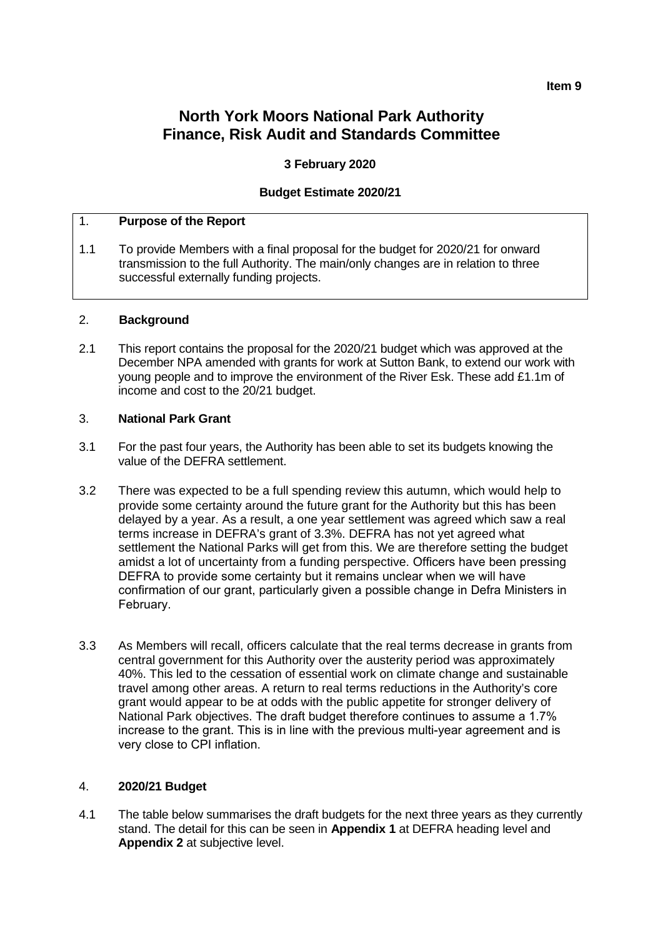#### **Item 9**

## **North York Moors National Park Authority Finance, Risk Audit and Standards Committee**

### **3 February 2020**

#### **Budget Estimate 2020/21**

#### 1. **Purpose of the Report**

1.1 To provide Members with a final proposal for the budget for 2020/21 for onward transmission to the full Authority. The main/only changes are in relation to three successful externally funding projects.

#### 2. **Background**

2.1 This report contains the proposal for the 2020/21 budget which was approved at the December NPA amended with grants for work at Sutton Bank, to extend our work with young people and to improve the environment of the River Esk. These add £1.1m of income and cost to the 20/21 budget.

#### 3. **National Park Grant**

- 3.1 For the past four years, the Authority has been able to set its budgets knowing the value of the DEFRA settlement.
- 3.2 There was expected to be a full spending review this autumn, which would help to provide some certainty around the future grant for the Authority but this has been delayed by a year. As a result, a one year settlement was agreed which saw a real terms increase in DEFRA's grant of 3.3%. DEFRA has not yet agreed what settlement the National Parks will get from this. We are therefore setting the budget amidst a lot of uncertainty from a funding perspective. Officers have been pressing DEFRA to provide some certainty but it remains unclear when we will have confirmation of our grant, particularly given a possible change in Defra Ministers in February.
- 3.3 As Members will recall, officers calculate that the real terms decrease in grants from central government for this Authority over the austerity period was approximately 40%. This led to the cessation of essential work on climate change and sustainable travel among other areas. A return to real terms reductions in the Authority's core grant would appear to be at odds with the public appetite for stronger delivery of National Park objectives. The draft budget therefore continues to assume a 1.7% increase to the grant. This is in line with the previous multi-year agreement and is very close to CPI inflation.

#### 4. **2020/21 Budget**

4.1 The table below summarises the draft budgets for the next three years as they currently stand. The detail for this can be seen in **Appendix 1** at DEFRA heading level and **Appendix 2** at subjective level.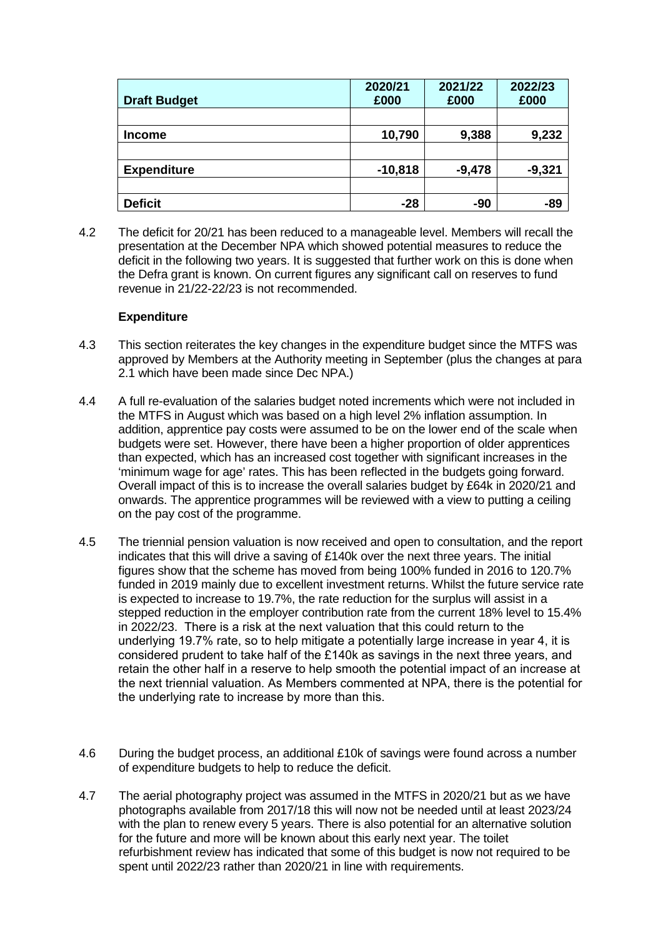| <b>Draft Budget</b> | 2020/21<br>£000 | 2021/22<br>£000 | 2022/23<br>£000 |
|---------------------|-----------------|-----------------|-----------------|
|                     |                 |                 |                 |
| <b>Income</b>       | 10,790          | 9,388           | 9,232           |
|                     |                 |                 |                 |
| <b>Expenditure</b>  | $-10,818$       | $-9,478$        | $-9,321$        |
|                     |                 |                 |                 |
| <b>Deficit</b>      | $-28$           | -90             | $-89$           |

4.2 The deficit for 20/21 has been reduced to a manageable level. Members will recall the presentation at the December NPA which showed potential measures to reduce the deficit in the following two years. It is suggested that further work on this is done when the Defra grant is known. On current figures any significant call on reserves to fund revenue in 21/22-22/23 is not recommended.

### **Expenditure**

- 4.3 This section reiterates the key changes in the expenditure budget since the MTFS was approved by Members at the Authority meeting in September (plus the changes at para 2.1 which have been made since Dec NPA.)
- 4.4 A full re-evaluation of the salaries budget noted increments which were not included in the MTFS in August which was based on a high level 2% inflation assumption. In addition, apprentice pay costs were assumed to be on the lower end of the scale when budgets were set. However, there have been a higher proportion of older apprentices than expected, which has an increased cost together with significant increases in the 'minimum wage for age' rates. This has been reflected in the budgets going forward. Overall impact of this is to increase the overall salaries budget by £64k in 2020/21 and onwards. The apprentice programmes will be reviewed with a view to putting a ceiling on the pay cost of the programme.
- 4.5 The triennial pension valuation is now received and open to consultation, and the report indicates that this will drive a saving of £140k over the next three years. The initial figures show that the scheme has moved from being 100% funded in 2016 to 120.7% funded in 2019 mainly due to excellent investment returns. Whilst the future service rate is expected to increase to 19.7%, the rate reduction for the surplus will assist in a stepped reduction in the employer contribution rate from the current 18% level to 15.4% in 2022/23. There is a risk at the next valuation that this could return to the underlying 19.7% rate, so to help mitigate a potentially large increase in year 4, it is considered prudent to take half of the £140k as savings in the next three years, and retain the other half in a reserve to help smooth the potential impact of an increase at the next triennial valuation. As Members commented at NPA, there is the potential for the underlying rate to increase by more than this.
- 4.6 During the budget process, an additional £10k of savings were found across a number of expenditure budgets to help to reduce the deficit.
- 4.7 The aerial photography project was assumed in the MTFS in 2020/21 but as we have photographs available from 2017/18 this will now not be needed until at least 2023/24 with the plan to renew every 5 years. There is also potential for an alternative solution for the future and more will be known about this early next year. The toilet refurbishment review has indicated that some of this budget is now not required to be spent until 2022/23 rather than 2020/21 in line with requirements.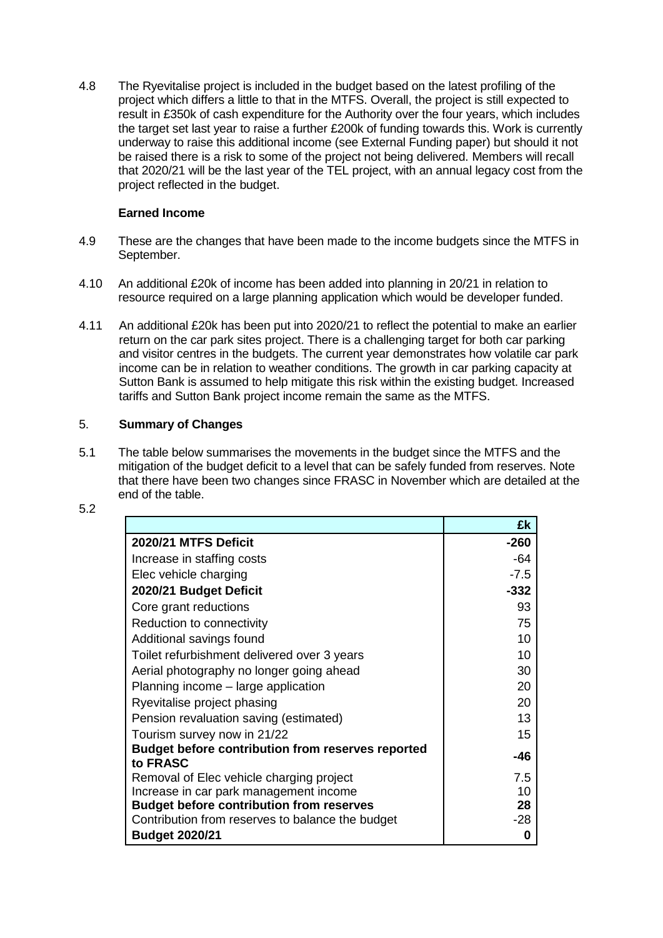4.8 The Ryevitalise project is included in the budget based on the latest profiling of the project which differs a little to that in the MTFS. Overall, the project is still expected to result in £350k of cash expenditure for the Authority over the four years, which includes the target set last year to raise a further £200k of funding towards this. Work is currently underway to raise this additional income (see External Funding paper) but should it not be raised there is a risk to some of the project not being delivered. Members will recall that 2020/21 will be the last year of the TEL project, with an annual legacy cost from the project reflected in the budget.

## **Earned Income**

- 4.9 These are the changes that have been made to the income budgets since the MTFS in September.
- 4.10 An additional £20k of income has been added into planning in 20/21 in relation to resource required on a large planning application which would be developer funded.
- 4.11 An additional £20k has been put into 2020/21 to reflect the potential to make an earlier return on the car park sites project. There is a challenging target for both car parking and visitor centres in the budgets. The current year demonstrates how volatile car park income can be in relation to weather conditions. The growth in car parking capacity at Sutton Bank is assumed to help mitigate this risk within the existing budget. Increased tariffs and Sutton Bank project income remain the same as the MTFS.

## 5. **Summary of Changes**

5.1 The table below summarises the movements in the budget since the MTFS and the mitigation of the budget deficit to a level that can be safely funded from reserves. Note that there have been two changes since FRASC in November which are detailed at the end of the table.

|                                                                      | £k     |
|----------------------------------------------------------------------|--------|
| 2020/21 MTFS Deficit                                                 | $-260$ |
| Increase in staffing costs                                           | $-64$  |
| Elec vehicle charging                                                | $-7.5$ |
| 2020/21 Budget Deficit                                               | $-332$ |
| Core grant reductions                                                | 93     |
| Reduction to connectivity                                            | 75     |
| Additional savings found                                             | 10     |
| Toilet refurbishment delivered over 3 years                          | 10     |
| Aerial photography no longer going ahead                             | 30     |
| Planning income - large application                                  | 20     |
| Ryevitalise project phasing                                          | 20     |
| Pension revaluation saving (estimated)                               | 13     |
| Tourism survey now in 21/22                                          | 15     |
| <b>Budget before contribution from reserves reported</b><br>to FRASC | -46    |
| Removal of Elec vehicle charging project                             | 7.5    |
| Increase in car park management income                               | 10     |
| <b>Budget before contribution from reserves</b>                      | 28     |
| Contribution from reserves to balance the budget                     | -28    |
| <b>Budget 2020/21</b>                                                | 0      |

5.2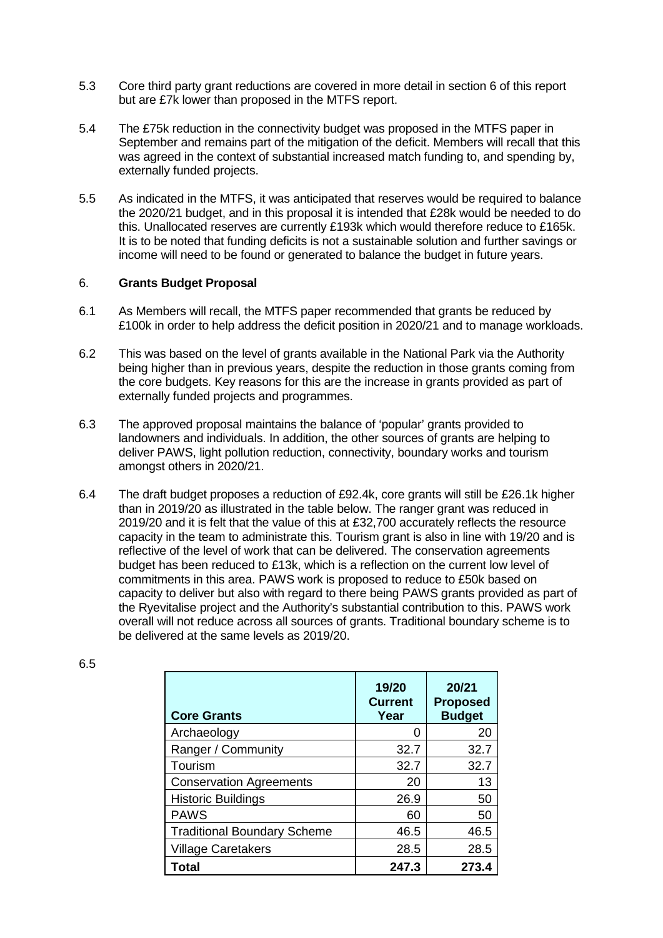- 5.3 Core third party grant reductions are covered in more detail in section 6 of this report but are £7k lower than proposed in the MTFS report.
- 5.4 The £75k reduction in the connectivity budget was proposed in the MTFS paper in September and remains part of the mitigation of the deficit. Members will recall that this was agreed in the context of substantial increased match funding to, and spending by, externally funded projects.
- 5.5 As indicated in the MTFS, it was anticipated that reserves would be required to balance the 2020/21 budget, and in this proposal it is intended that £28k would be needed to do this. Unallocated reserves are currently £193k which would therefore reduce to £165k. It is to be noted that funding deficits is not a sustainable solution and further savings or income will need to be found or generated to balance the budget in future years.

### 6. **Grants Budget Proposal**

- 6.1 As Members will recall, the MTFS paper recommended that grants be reduced by £100k in order to help address the deficit position in 2020/21 and to manage workloads.
- 6.2 This was based on the level of grants available in the National Park via the Authority being higher than in previous years, despite the reduction in those grants coming from the core budgets. Key reasons for this are the increase in grants provided as part of externally funded projects and programmes.
- 6.3 The approved proposal maintains the balance of 'popular' grants provided to landowners and individuals. In addition, the other sources of grants are helping to deliver PAWS, light pollution reduction, connectivity, boundary works and tourism amongst others in 2020/21.
- 6.4 The draft budget proposes a reduction of £92.4k, core grants will still be £26.1k higher than in 2019/20 as illustrated in the table below. The ranger grant was reduced in 2019/20 and it is felt that the value of this at £32,700 accurately reflects the resource capacity in the team to administrate this. Tourism grant is also in line with 19/20 and is reflective of the level of work that can be delivered. The conservation agreements budget has been reduced to £13k, which is a reflection on the current low level of commitments in this area. PAWS work is proposed to reduce to £50k based on capacity to deliver but also with regard to there being PAWS grants provided as part of the Ryevitalise project and the Authority's substantial contribution to this. PAWS work overall will not reduce across all sources of grants. Traditional boundary scheme is to be delivered at the same levels as 2019/20.

| <b>Core Grants</b>                 | 19/20<br><b>Current</b><br>Year | 20/21<br><b>Proposed</b><br><b>Budget</b> |
|------------------------------------|---------------------------------|-------------------------------------------|
| Archaeology                        | $\mathbf{\Omega}$               | 20                                        |
| Ranger / Community                 | 32.7                            | 32.7                                      |
| Tourism                            | 32.7                            | 32.7                                      |
| <b>Conservation Agreements</b>     | 20                              | 13                                        |
| <b>Historic Buildings</b>          | 26.9                            | 50                                        |
| <b>PAWS</b>                        | 60                              | 50                                        |
| <b>Traditional Boundary Scheme</b> | 46.5                            | 46.5                                      |
| <b>Village Caretakers</b>          | 28.5                            | 28.5                                      |
| Total                              | 247.3                           | 273.4                                     |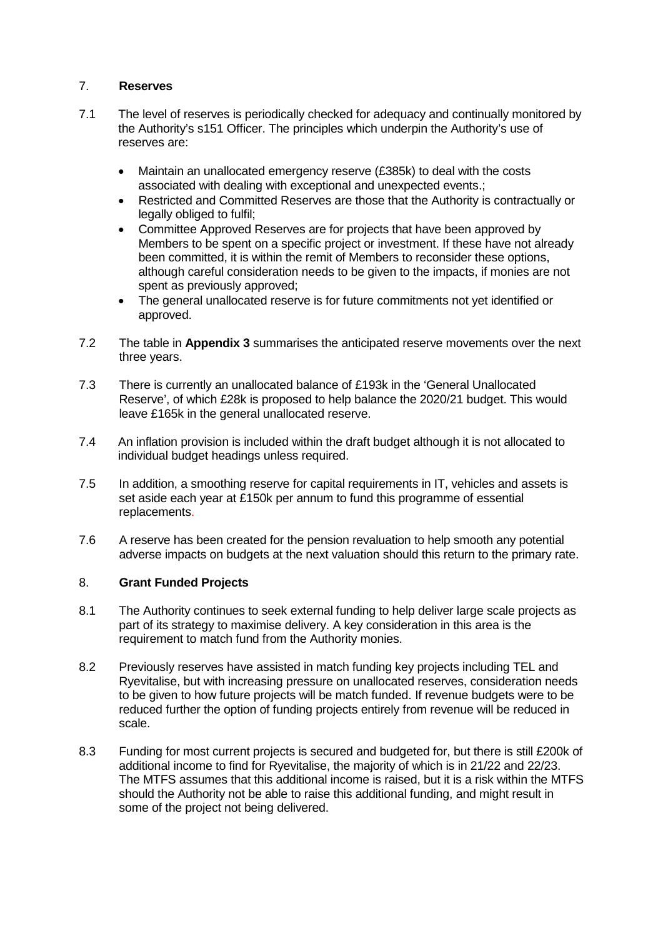## 7. **Reserves**

- 7.1 The level of reserves is periodically checked for adequacy and continually monitored by the Authority's s151 Officer. The principles which underpin the Authority's use of reserves are:
	- Maintain an unallocated emergency reserve (£385k) to deal with the costs associated with dealing with exceptional and unexpected events.;
	- Restricted and Committed Reserves are those that the Authority is contractually or legally obliged to fulfil;
	- Committee Approved Reserves are for projects that have been approved by Members to be spent on a specific project or investment. If these have not already been committed, it is within the remit of Members to reconsider these options, although careful consideration needs to be given to the impacts, if monies are not spent as previously approved;
	- The general unallocated reserve is for future commitments not yet identified or approved.
- 7.2 The table in **Appendix 3** summarises the anticipated reserve movements over the next three years.
- 7.3 There is currently an unallocated balance of £193k in the 'General Unallocated Reserve', of which £28k is proposed to help balance the 2020/21 budget. This would leave £165k in the general unallocated reserve.
- 7.4 An inflation provision is included within the draft budget although it is not allocated to individual budget headings unless required.
- 7.5 In addition, a smoothing reserve for capital requirements in IT, vehicles and assets is set aside each year at £150k per annum to fund this programme of essential replacements.
- 7.6 A reserve has been created for the pension revaluation to help smooth any potential adverse impacts on budgets at the next valuation should this return to the primary rate.

### 8. **Grant Funded Projects**

- 8.1 The Authority continues to seek external funding to help deliver large scale projects as part of its strategy to maximise delivery. A key consideration in this area is the requirement to match fund from the Authority monies.
- 8.2 Previously reserves have assisted in match funding key projects including TEL and Ryevitalise, but with increasing pressure on unallocated reserves, consideration needs to be given to how future projects will be match funded. If revenue budgets were to be reduced further the option of funding projects entirely from revenue will be reduced in scale.
- 8.3 Funding for most current projects is secured and budgeted for, but there is still £200k of additional income to find for Ryevitalise, the majority of which is in 21/22 and 22/23. The MTFS assumes that this additional income is raised, but it is a risk within the MTFS should the Authority not be able to raise this additional funding, and might result in some of the project not being delivered.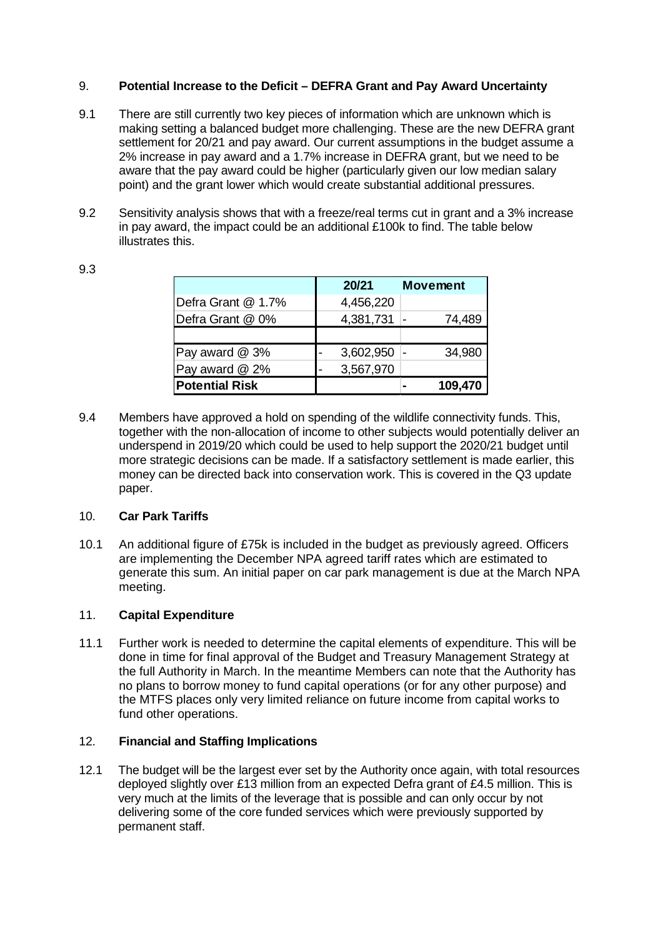## 9. **Potential Increase to the Deficit – DEFRA Grant and Pay Award Uncertainty**

- 9.1 There are still currently two key pieces of information which are unknown which is making setting a balanced budget more challenging. These are the new DEFRA grant settlement for 20/21 and pay award. Our current assumptions in the budget assume a 2% increase in pay award and a 1.7% increase in DEFRA grant, but we need to be aware that the pay award could be higher (particularly given our low median salary point) and the grant lower which would create substantial additional pressures.
- 9.2 Sensitivity analysis shows that with a freeze/real terms cut in grant and a 3% increase in pay award, the impact could be an additional £100k to find. The table below illustrates this.

|                       | 20/21     | <b>Movement</b> |         |
|-----------------------|-----------|-----------------|---------|
| Defra Grant @ 1.7%    | 4,456,220 |                 |         |
| Defra Grant @ 0%      | 4,381,731 |                 | 74,489  |
|                       |           |                 |         |
| Pay award @ 3%        | 3,602,950 |                 | 34,980  |
| Pay award @ 2%        | 3,567,970 |                 |         |
| <b>Potential Risk</b> |           |                 | 109,470 |

9.3

9.4 Members have approved a hold on spending of the wildlife connectivity funds. This, together with the non-allocation of income to other subjects would potentially deliver an underspend in 2019/20 which could be used to help support the 2020/21 budget until more strategic decisions can be made. If a satisfactory settlement is made earlier, this money can be directed back into conservation work. This is covered in the Q3 update paper.

### 10. **Car Park Tariffs**

10.1 An additional figure of £75k is included in the budget as previously agreed. Officers are implementing the December NPA agreed tariff rates which are estimated to generate this sum. An initial paper on car park management is due at the March NPA meeting.

### 11. **Capital Expenditure**

11.1 Further work is needed to determine the capital elements of expenditure. This will be done in time for final approval of the Budget and Treasury Management Strategy at the full Authority in March. In the meantime Members can note that the Authority has no plans to borrow money to fund capital operations (or for any other purpose) and the MTFS places only very limited reliance on future income from capital works to fund other operations.

### 12. **Financial and Staffing Implications**

12.1 The budget will be the largest ever set by the Authority once again, with total resources deployed slightly over £13 million from an expected Defra grant of £4.5 million. This is very much at the limits of the leverage that is possible and can only occur by not delivering some of the core funded services which were previously supported by permanent staff.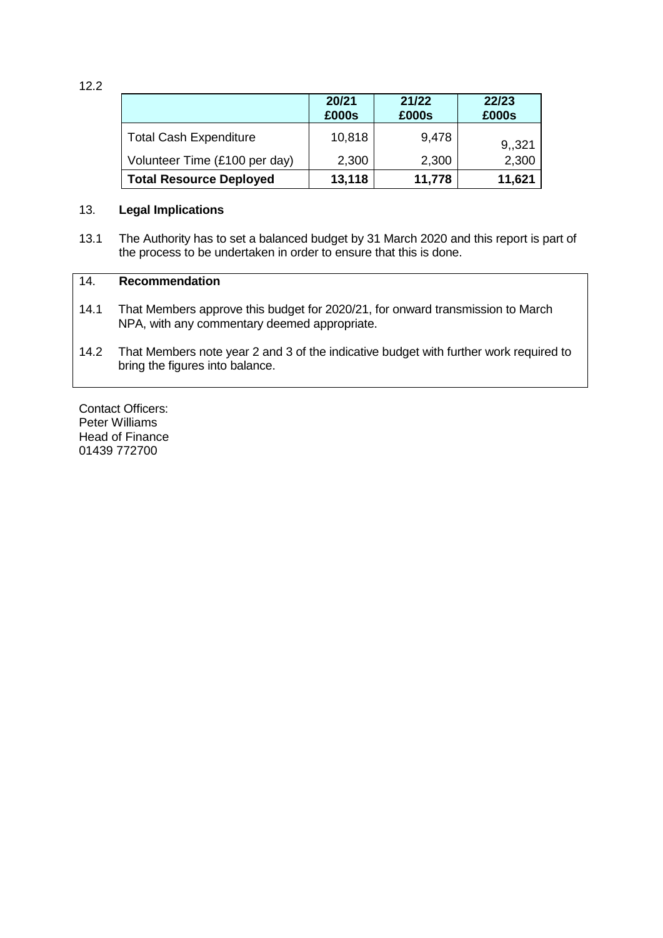12.2

|                                | 20/21<br>£000s | 21/22<br>£000s | 22/23<br>£000s |
|--------------------------------|----------------|----------------|----------------|
| <b>Total Cash Expenditure</b>  | 10,818         | 9,478          | 9,321          |
| Volunteer Time (£100 per day)  | 2,300          | 2,300          | 2,300          |
| <b>Total Resource Deployed</b> | 13,118         | 11,778         | 11,621         |

#### 13. **Legal Implications**

13.1 The Authority has to set a balanced budget by 31 March 2020 and this report is part of the process to be undertaken in order to ensure that this is done.

## 14. **Recommendation**

- 14.1 That Members approve this budget for 2020/21, for onward transmission to March NPA, with any commentary deemed appropriate.
- 14.2 That Members note year 2 and 3 of the indicative budget with further work required to bring the figures into balance.

Contact Officers: Peter Williams Head of Finance 01439 772700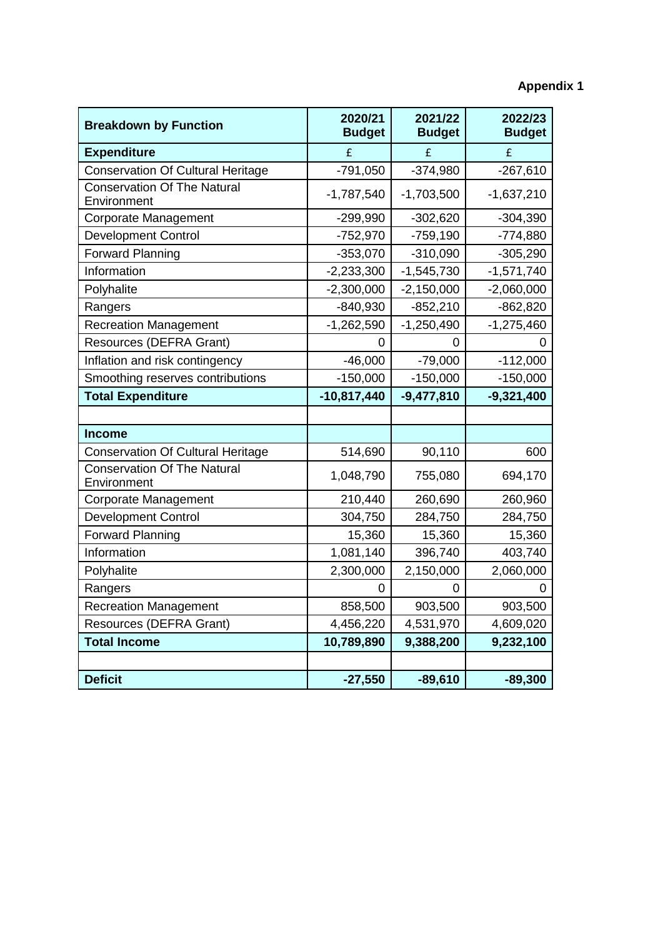# **Appendix 1**

| <b>Breakdown by Function</b>                      | 2020/21<br><b>Budget</b> | 2021/22<br><b>Budget</b> | 2022/23<br><b>Budget</b> |  |  |
|---------------------------------------------------|--------------------------|--------------------------|--------------------------|--|--|
| <b>Expenditure</b>                                | £                        | £                        | £                        |  |  |
| <b>Conservation Of Cultural Heritage</b>          | $-791,050$               | $-374,980$               | $-267,610$               |  |  |
| <b>Conservation Of The Natural</b><br>Environment | $-1,787,540$             | $-1,703,500$             | $-1,637,210$             |  |  |
| <b>Corporate Management</b>                       | $-299,990$               | $-302,620$               | $-304,390$               |  |  |
| <b>Development Control</b>                        | $-752,970$               | $-759,190$               | $-774,880$               |  |  |
| <b>Forward Planning</b>                           | $-353,070$               | $-310,090$               | $-305,290$               |  |  |
| Information                                       | $-2,233,300$             | $-1,545,730$             | $-1,571,740$             |  |  |
| Polyhalite                                        | $-2,300,000$             | $-2,150,000$             | $-2,060,000$             |  |  |
| Rangers                                           | $-840,930$               | $-852,210$               | $-862,820$               |  |  |
| <b>Recreation Management</b>                      | $-1,262,590$             | $-1,250,490$             | $-1,275,460$             |  |  |
| Resources (DEFRA Grant)                           | 0                        | 0                        |                          |  |  |
| Inflation and risk contingency                    | $-46,000$                | $-79,000$                | $-112,000$               |  |  |
| Smoothing reserves contributions                  | $-150,000$               | $-150,000$               | $-150,000$               |  |  |
| <b>Total Expenditure</b>                          | $-10,817,440$            | $-9,477,810$             | $-9,321,400$             |  |  |
|                                                   |                          |                          |                          |  |  |
| <b>Income</b>                                     |                          |                          |                          |  |  |
| <b>Conservation Of Cultural Heritage</b>          | 514,690                  | 90,110                   | 600                      |  |  |
| <b>Conservation Of The Natural</b><br>Environment | 1,048,790                | 755,080                  | 694,170                  |  |  |
| <b>Corporate Management</b>                       | 210,440                  | 260,690                  | 260,960                  |  |  |
| <b>Development Control</b>                        | 304,750                  | 284,750                  | 284,750                  |  |  |
| <b>Forward Planning</b>                           | 15,360                   | 15,360                   | 15,360                   |  |  |
| Information                                       | 1,081,140                | 396,740                  | 403,740                  |  |  |
| Polyhalite                                        | 2,300,000                | 2,150,000                | 2,060,000                |  |  |
| Rangers                                           | 0                        | 0                        |                          |  |  |
| <b>Recreation Management</b>                      | 858,500                  | 903,500                  | 903,500                  |  |  |
| Resources (DEFRA Grant)                           | 4,456,220                | 4,531,970                | 4,609,020                |  |  |
| <b>Total Income</b>                               | 10,789,890               | 9,388,200                | 9,232,100                |  |  |
|                                                   |                          |                          |                          |  |  |
| <b>Deficit</b>                                    | $-27,550$                | $-89,610$                | $-89,300$                |  |  |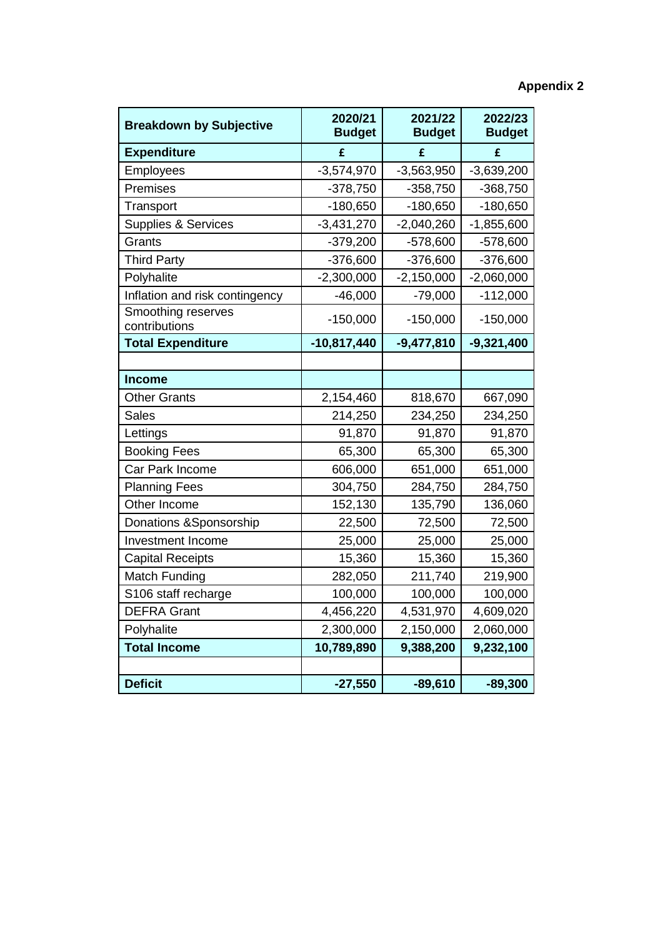# **Appendix 2**

| <b>Breakdown by Subjective</b>      | 2020/21<br><b>Budget</b> | 2021/22<br><b>Budget</b> | 2022/23<br><b>Budget</b> |  |  |
|-------------------------------------|--------------------------|--------------------------|--------------------------|--|--|
| <b>Expenditure</b>                  | £                        | £                        | £                        |  |  |
| Employees                           | $-3,574,970$             | $-3,563,950$             | $-3,639,200$             |  |  |
| Premises                            | $-378,750$               | $-358,750$               | $-368,750$               |  |  |
| Transport                           | $-180,650$               | $-180,650$               | $-180,650$               |  |  |
| <b>Supplies &amp; Services</b>      | $-3,431,270$             | $-2,040,260$             | $-1,855,600$             |  |  |
| Grants                              | $-379,200$               | $-578,600$               | $-578,600$               |  |  |
| <b>Third Party</b>                  | $-376,600$               | $-376,600$               | $-376,600$               |  |  |
| Polyhalite                          | $-2,300,000$             | $-2,150,000$             | $-2,060,000$             |  |  |
| Inflation and risk contingency      | $-46,000$                | $-79,000$                | $-112,000$               |  |  |
| Smoothing reserves<br>contributions | $-150,000$               | $-150,000$               | $-150,000$               |  |  |
| <b>Total Expenditure</b>            | $-10,817,440$            | $-9,477,810$             | $-9,321,400$             |  |  |
|                                     |                          |                          |                          |  |  |
| <b>Income</b>                       |                          |                          |                          |  |  |
| <b>Other Grants</b>                 | 2,154,460                | 818,670                  | 667,090                  |  |  |
| <b>Sales</b>                        | 214,250                  | 234,250                  | 234,250                  |  |  |
| Lettings                            | 91,870                   | 91,870                   | 91,870                   |  |  |
| <b>Booking Fees</b>                 | 65,300                   | 65,300                   | 65,300                   |  |  |
| Car Park Income                     | 606,000                  | 651,000                  | 651,000                  |  |  |
| <b>Planning Fees</b>                | 304,750                  | 284,750                  | 284,750                  |  |  |
| Other Income                        | 152,130                  | 135,790                  | 136,060                  |  |  |
| Donations & Sponsorship             | 22,500                   | 72,500                   | 72,500                   |  |  |
| <b>Investment Income</b>            | 25,000                   | 25,000                   | 25,000                   |  |  |
| <b>Capital Receipts</b>             | 15,360                   | 15,360                   | 15,360                   |  |  |
| <b>Match Funding</b>                | 282,050                  | 211,740                  | 219,900                  |  |  |
| S106 staff recharge                 | 100,000                  | 100,000                  | 100,000                  |  |  |
| <b>DEFRA Grant</b>                  | 4,456,220                | 4,531,970                | 4,609,020                |  |  |
| Polyhalite                          | 2,300,000                | 2,150,000<br>2,060,000   |                          |  |  |
| <b>Total Income</b>                 | 10,789,890               | 9,388,200                | 9,232,100                |  |  |
|                                     |                          |                          |                          |  |  |
| <b>Deficit</b>                      | $-27,550$                | $-89,610$                | $-89,300$                |  |  |